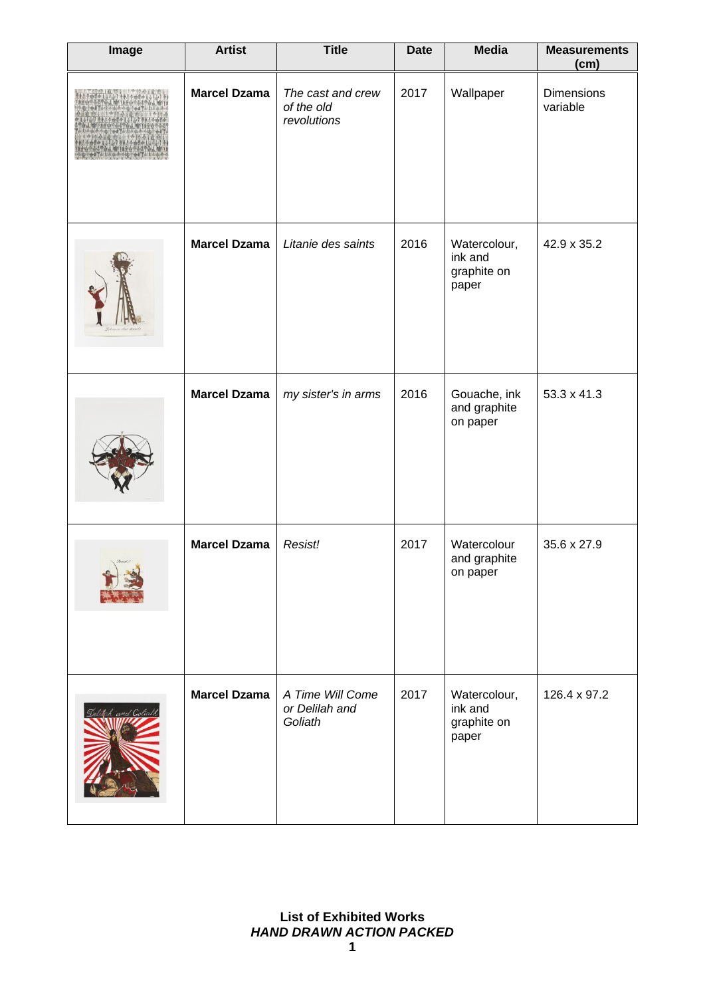| Image         | <b>Artist</b>       | <b>Title</b>                                   | <b>Date</b> | <b>Media</b>                                    | <b>Measurements</b><br>(cm)   |
|---------------|---------------------|------------------------------------------------|-------------|-------------------------------------------------|-------------------------------|
|               | <b>Marcel Dzama</b> | The cast and crew<br>of the old<br>revolutions | 2017        | Wallpaper                                       | <b>Dimensions</b><br>variable |
|               | <b>Marcel Dzama</b> | Litanie des saints                             | 2016        | Watercolour,<br>ink and<br>graphite on<br>paper | 42.9 x 35.2                   |
|               | <b>Marcel Dzama</b> | my sister's in arms                            | 2016        | Gouache, ink<br>and graphite<br>on paper        | 53.3 x 41.3                   |
|               | <b>Marcel Dzama</b> | Resist!                                        | 2017        | Watercolour<br>and graphite<br>on paper         | 35.6 x 27.9                   |
| likch and Got | <b>Marcel Dzama</b> | A Time Will Come<br>or Delilah and<br>Goliath  | 2017        | Watercolour,<br>ink and<br>graphite on<br>paper | 126.4 x 97.2                  |

**List of Exhibited Works** *HAND DRAWN ACTION PACKED* **1**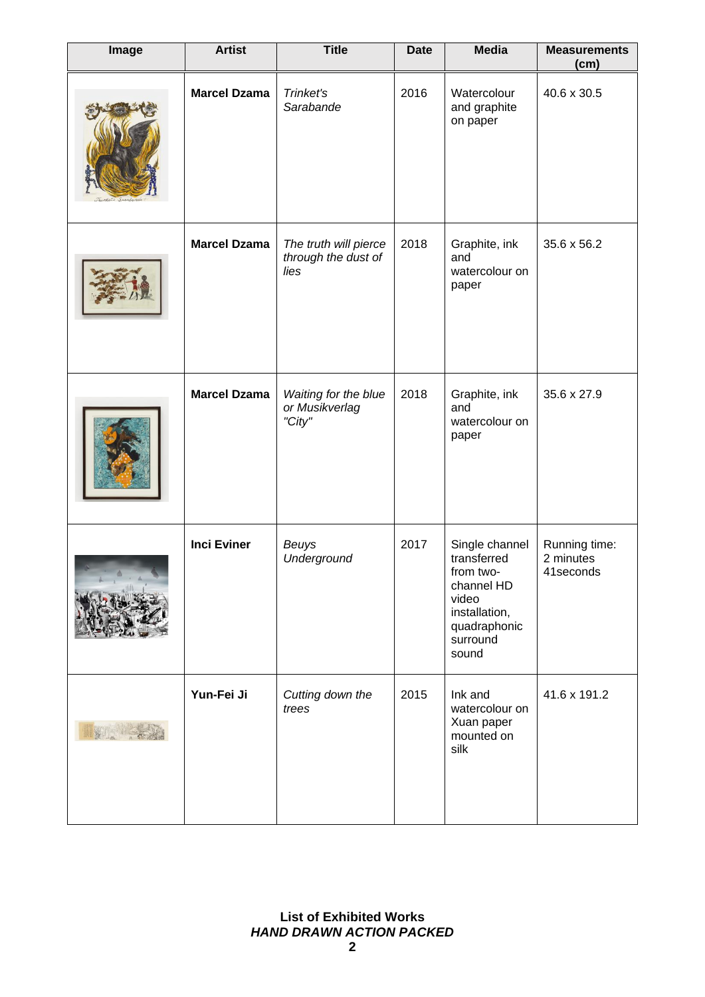| Image | <b>Artist</b>       | <b>Title</b>                                         | <b>Date</b> | <b>Media</b>                                                                                                            | <b>Measurements</b><br>(cm)             |
|-------|---------------------|------------------------------------------------------|-------------|-------------------------------------------------------------------------------------------------------------------------|-----------------------------------------|
|       | <b>Marcel Dzama</b> | <b>Trinket's</b><br>Sarabande                        | 2016        | Watercolour<br>and graphite<br>on paper                                                                                 | 40.6 x 30.5                             |
|       | <b>Marcel Dzama</b> | The truth will pierce<br>through the dust of<br>lies | 2018        | Graphite, ink<br>and<br>watercolour on<br>paper                                                                         | 35.6 x 56.2                             |
|       | <b>Marcel Dzama</b> | Waiting for the blue<br>or Musikverlag<br>"City"     | 2018        | Graphite, ink<br>and<br>watercolour on<br>paper                                                                         | 35.6 x 27.9                             |
|       | <b>Inci Eviner</b>  | Beuys<br>Underground                                 | 2017        | Single channel<br>transferred<br>from two-<br>channel HD<br>video<br>installation,<br>quadraphonic<br>surround<br>sound | Running time:<br>2 minutes<br>41seconds |
|       | Yun-Fei Ji          | Cutting down the<br>trees                            | 2015        | Ink and<br>watercolour on<br>Xuan paper<br>mounted on<br>silk                                                           | 41.6 x 191.2                            |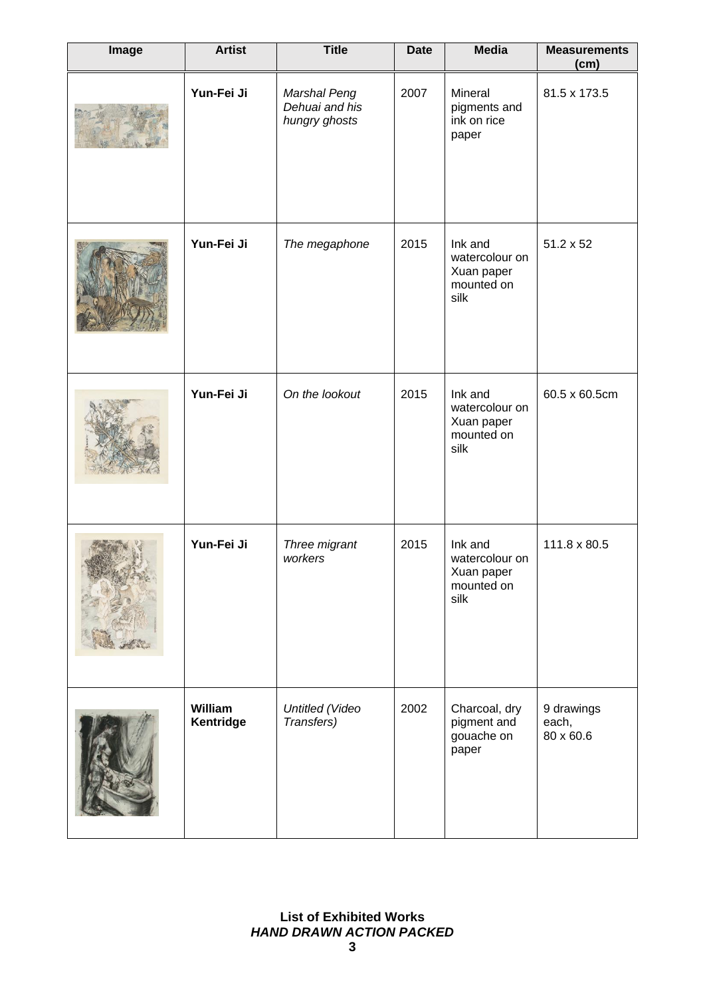| Image | <b>Artist</b>        | <b>Title</b>                                    | <b>Date</b> | <b>Media</b>                                                  | <b>Measurements</b><br>(cm)      |
|-------|----------------------|-------------------------------------------------|-------------|---------------------------------------------------------------|----------------------------------|
|       | Yun-Fei Ji           | Marshal Peng<br>Dehuai and his<br>hungry ghosts | 2007        | Mineral<br>pigments and<br>ink on rice<br>paper               | 81.5 x 173.5                     |
|       | Yun-Fei Ji           | The megaphone                                   | 2015        | Ink and<br>watercolour on<br>Xuan paper<br>mounted on<br>silk | $51.2 \times 52$                 |
|       | Yun-Fei Ji           | On the lookout                                  | 2015        | Ink and<br>watercolour on<br>Xuan paper<br>mounted on<br>silk | 60.5 x 60.5cm                    |
|       | Yun-Fei Ji           | Three migrant<br>workers                        | 2015        | Ink and<br>watercolour on<br>Xuan paper<br>mounted on<br>silk | 111.8 x 80.5                     |
|       | William<br>Kentridge | Untitled (Video<br>Transfers)                   | 2002        | Charcoal, dry<br>pigment and<br>gouache on<br>paper           | 9 drawings<br>each,<br>80 x 60.6 |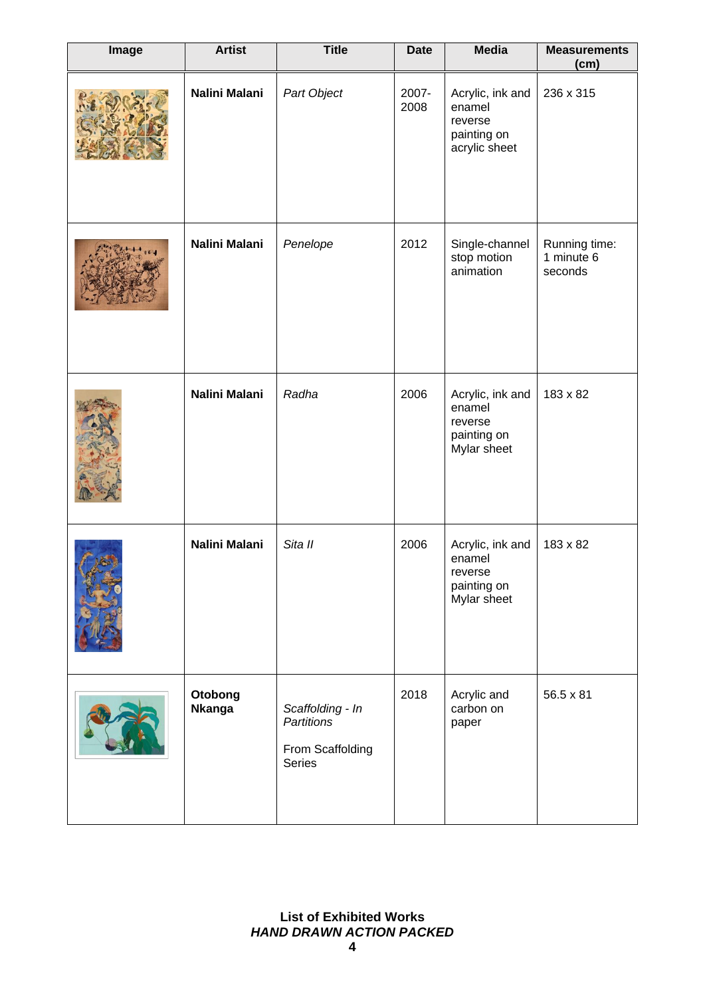| Image | <b>Artist</b>            | <b>Title</b>                                                        | <b>Date</b>   | <b>Media</b>                                                          | <b>Measurements</b><br>(cm)            |
|-------|--------------------------|---------------------------------------------------------------------|---------------|-----------------------------------------------------------------------|----------------------------------------|
|       | Nalini Malani            | Part Object                                                         | 2007-<br>2008 | Acrylic, ink and<br>enamel<br>reverse<br>painting on<br>acrylic sheet | 236 x 315                              |
|       | Nalini Malani            | Penelope                                                            | 2012          | Single-channel<br>stop motion<br>animation                            | Running time:<br>1 minute 6<br>seconds |
|       | Nalini Malani            | Radha                                                               | 2006          | Acrylic, ink and<br>enamel<br>reverse<br>painting on<br>Mylar sheet   | 183 x 82                               |
|       | Nalini Malani            | Sita II                                                             | 2006          | Acrylic, ink and<br>enamel<br>reverse<br>painting on<br>Mylar sheet   | 183 x 82                               |
|       | Otobong<br><b>Nkanga</b> | Scaffolding - In<br><b>Partitions</b><br>From Scaffolding<br>Series | 2018          | Acrylic and<br>carbon on<br>paper                                     | 56.5 x 81                              |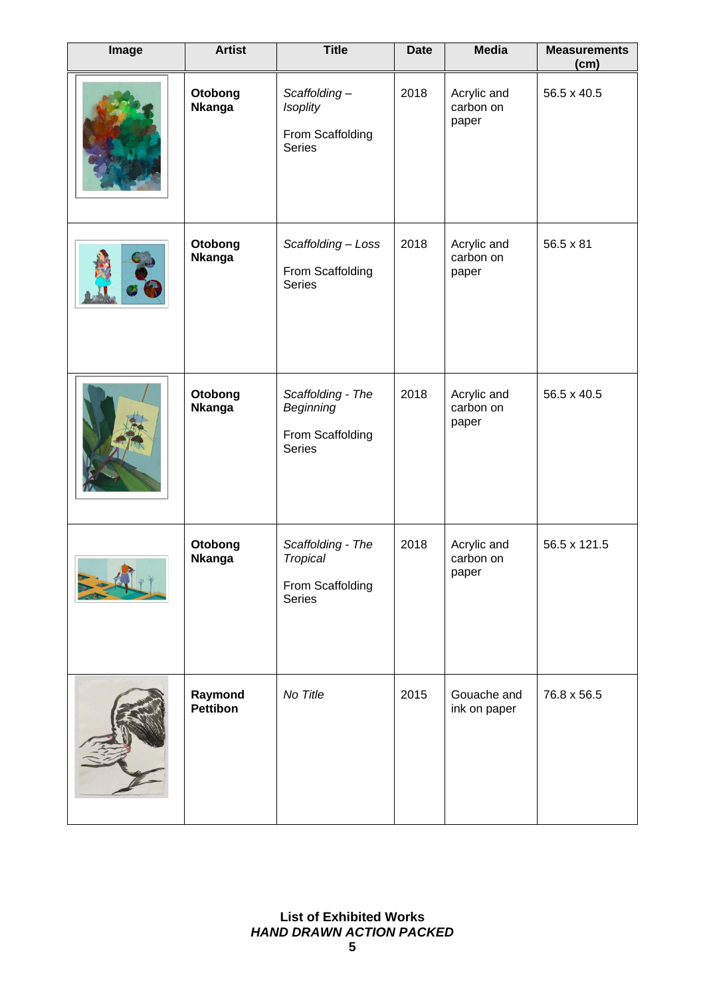| Image | <b>Artist</b>              | <b>Title</b>                                                       | <b>Date</b> | <b>Media</b>                      | <b>Measurements</b><br>(cm) |
|-------|----------------------------|--------------------------------------------------------------------|-------------|-----------------------------------|-----------------------------|
|       | Otobong<br><b>Nkanga</b>   | Scaffolding-<br><b>Isoplity</b><br>From Scaffolding<br>Series      | 2018        | Acrylic and<br>carbon on<br>paper | 56.5 x 40.5                 |
|       | Otobong<br><b>Nkanga</b>   | Scaffolding - Loss<br>From Scaffolding<br>Series                   | 2018        | Acrylic and<br>carbon on<br>paper | 56.5 x 81                   |
|       | Otobong<br><b>Nkanga</b>   | Scaffolding - The<br>Beginning<br>From Scaffolding<br>Series       | 2018        | Acrylic and<br>carbon on<br>paper | 56.5 x 40.5                 |
|       | Otobong<br><b>Nkanga</b>   | Scaffolding - The<br><b>Tropical</b><br>From Scaffolding<br>Series | 2018        | Acrylic and<br>carbon on<br>paper | 56.5 x 121.5                |
|       | Raymond<br><b>Pettibon</b> | No Title                                                           | 2015        | Gouache and<br>ink on paper       | 76.8 x 56.5                 |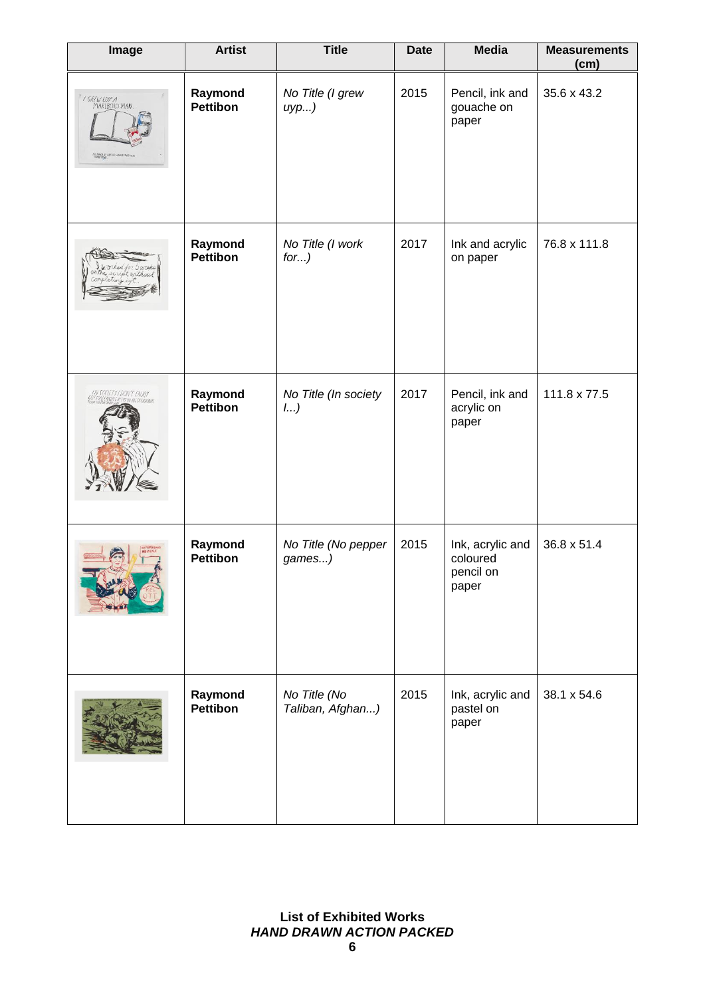| Image                                                           | <b>Artist</b>              | <b>Title</b>                     | <b>Date</b> | <b>Media</b>                                       | <b>Measurements</b><br>(cm) |
|-----------------------------------------------------------------|----------------------------|----------------------------------|-------------|----------------------------------------------------|-----------------------------|
| / GREW UYPA<br>MARLBORO MAN.<br>PO FANOUE WUTH WOOLE DAY WAS    | Raymond<br><b>Pettibon</b> | No Title (I grew<br>$uyp$ )      | 2015        | Pencil, ink and<br>gouache on<br>paper             | 35.6 x 43.2                 |
| <b>JWCRRA</b>                                                   | Raymond<br>Pettibon        | No Title (I work<br>$for$ )      | 2017        | Ink and acrylic<br>on paper                        | 76.8 x 111.8                |
| IN SOCIETY I DON'T ENJOY<br>COTTON CANDY EXCEL IN AN OCCASIONAL | Raymond<br><b>Pettibon</b> | No Title (In society<br>1        | 2017        | Pencil, ink and<br>acrylic on<br>paper             | 111.8 x 77.5                |
|                                                                 | Raymond<br><b>Pettibon</b> | No Title (No pepper<br>games)    | 2015        | Ink, acrylic and<br>coloured<br>pencil on<br>paper | 36.8 x 51.4                 |
|                                                                 | Raymond<br><b>Pettibon</b> | No Title (No<br>Taliban, Afghan) | 2015        | Ink, acrylic and<br>pastel on<br>paper             | 38.1 x 54.6                 |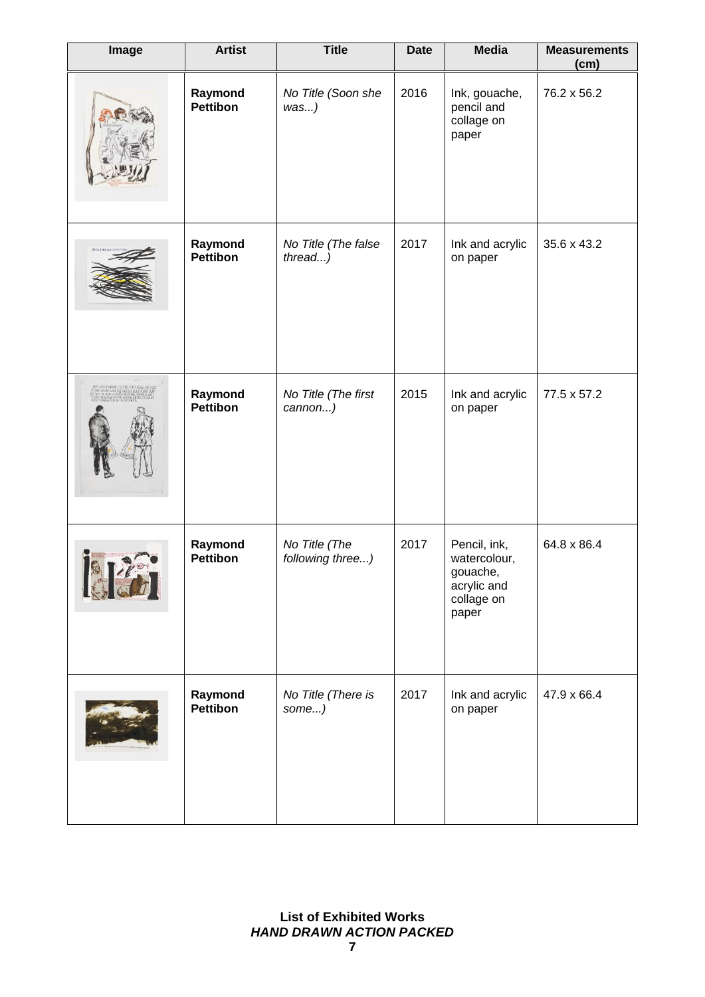| Image         | <b>Artist</b>              | <b>Title</b>                      | <b>Date</b> | <b>Media</b>                                                                   | <b>Measurements</b><br>(cm) |
|---------------|----------------------------|-----------------------------------|-------------|--------------------------------------------------------------------------------|-----------------------------|
|               | Raymond<br><b>Pettibon</b> | No Title (Soon she<br>was)        | 2016        | Ink, gouache,<br>pencil and<br>collage on<br>paper                             | 76.2 x 56.2                 |
|               | Raymond<br>Pettibon        | No Title (The false<br>thread)    | 2017        | Ink and acrylic<br>on paper                                                    | 35.6 x 43.2                 |
|               | Raymond<br><b>Pettibon</b> | No Title (The first<br>cannon)    | 2015        | Ink and acrylic<br>on paper                                                    | 77.5 x 57.2                 |
| <b>Ref</b> er | Raymond<br><b>Pettibon</b> | No Title (The<br>following three) | 2017        | Pencil, ink,<br>watercolour,<br>gouache,<br>acrylic and<br>collage on<br>paper | 64.8 x 86.4                 |
|               | Raymond<br><b>Pettibon</b> | No Title (There is<br>some)       | 2017        | Ink and acrylic<br>on paper                                                    | 47.9 x 66.4                 |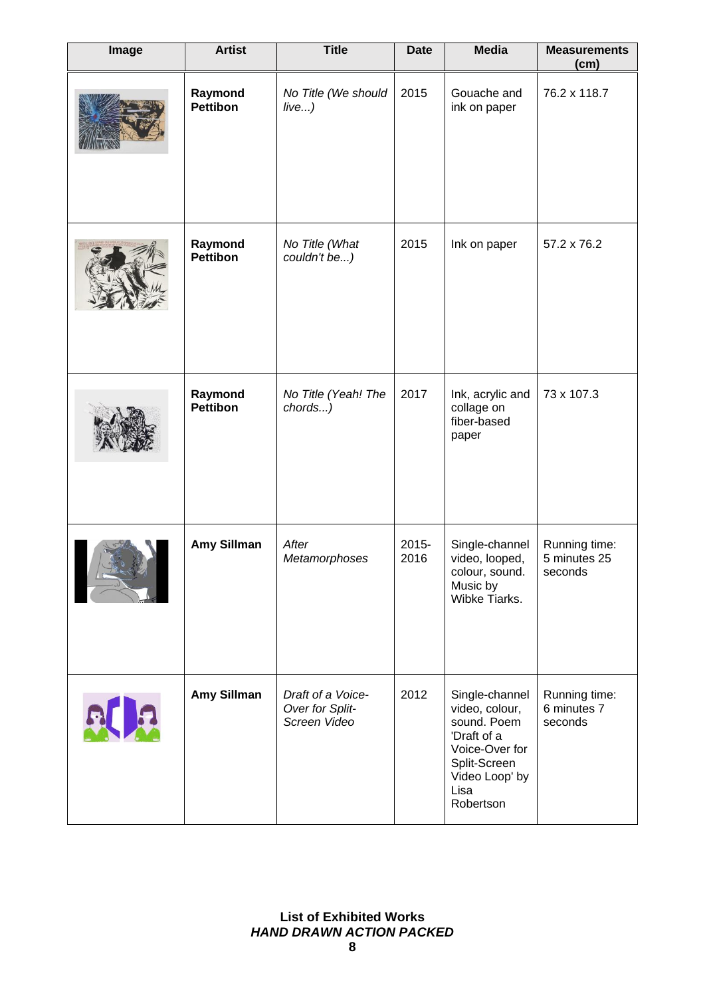| Image | <b>Artist</b>              | <b>Title</b>                                         | <b>Date</b>   | <b>Media</b>                                                                                                                            | <b>Measurements</b><br>(cm)              |
|-------|----------------------------|------------------------------------------------------|---------------|-----------------------------------------------------------------------------------------------------------------------------------------|------------------------------------------|
|       | Raymond<br><b>Pettibon</b> | No Title (We should<br>live)                         | 2015          | Gouache and<br>ink on paper                                                                                                             | 76.2 x 118.7                             |
|       | Raymond<br><b>Pettibon</b> | No Title (What<br>couldn't be)                       | 2015          | Ink on paper                                                                                                                            | 57.2 x 76.2                              |
|       | Raymond<br><b>Pettibon</b> | No Title (Yeah! The<br>chords)                       | 2017          | Ink, acrylic and<br>collage on<br>fiber-based<br>paper                                                                                  | 73 x 107.3                               |
|       | <b>Amy Sillman</b>         | After<br>Metamorphoses                               | 2015-<br>2016 | Single-channel<br>video, looped,<br>colour, sound.<br>Music by<br>Wibke Tiarks.                                                         | Running time:<br>5 minutes 25<br>seconds |
| RU3   | <b>Amy Sillman</b>         | Draft of a Voice-<br>Over for Split-<br>Screen Video | 2012          | Single-channel<br>video, colour,<br>sound. Poem<br>'Draft of a<br>Voice-Over for<br>Split-Screen<br>Video Loop' by<br>Lisa<br>Robertson | Running time:<br>6 minutes 7<br>seconds  |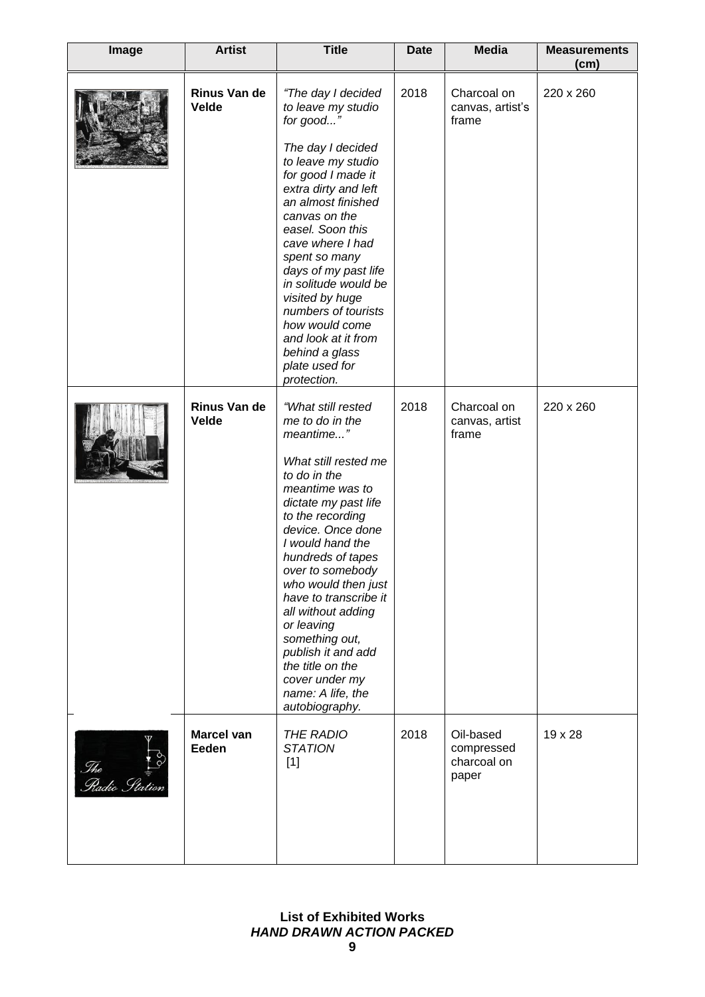| Image                | <b>Artist</b>                       | <b>Title</b>                                                                                                                                                                                                                                                                                                                                                                                                                                         | <b>Date</b> | <b>Media</b>                                    | <b>Measurements</b><br>(cm) |
|----------------------|-------------------------------------|------------------------------------------------------------------------------------------------------------------------------------------------------------------------------------------------------------------------------------------------------------------------------------------------------------------------------------------------------------------------------------------------------------------------------------------------------|-------------|-------------------------------------------------|-----------------------------|
|                      | Rinus Van de<br>Velde               | "The day I decided<br>to leave my studio<br>for good"<br>The day I decided<br>to leave my studio<br>for good I made it<br>extra dirty and left<br>an almost finished<br>canvas on the<br>easel. Soon this<br>cave where I had<br>spent so many<br>days of my past life<br>in solitude would be<br>visited by huge<br>numbers of tourists<br>how would come<br>and look at it from<br>behind a glass<br>plate used for<br>protection.                 | 2018        | Charcoal on<br>canvas, artist's<br>frame        | 220 x 260                   |
|                      | <b>Rinus Van de</b><br><b>Velde</b> | "What still rested<br>me to do in the<br>meantime"<br>What still rested me<br>to do in the<br>meantime was to<br>dictate my past life<br>to the recording<br>device. Once done<br>I would hand the<br>hundreds of tapes<br>over to somebody<br>who would then just<br>have to transcribe it<br>all without adding<br>or leaving<br>something out,<br>publish it and add<br>the title on the<br>cover under my<br>name: A life, the<br>autobiography. | 2018        | Charcoal on<br>canvas, artist<br>frame          | 220 x 260                   |
| The<br>Radio Station | <b>Marcel van</b><br>Eeden          | THE RADIO<br><b>STATION</b><br>$[1]$                                                                                                                                                                                                                                                                                                                                                                                                                 | 2018        | Oil-based<br>compressed<br>charcoal on<br>paper | 19 x 28                     |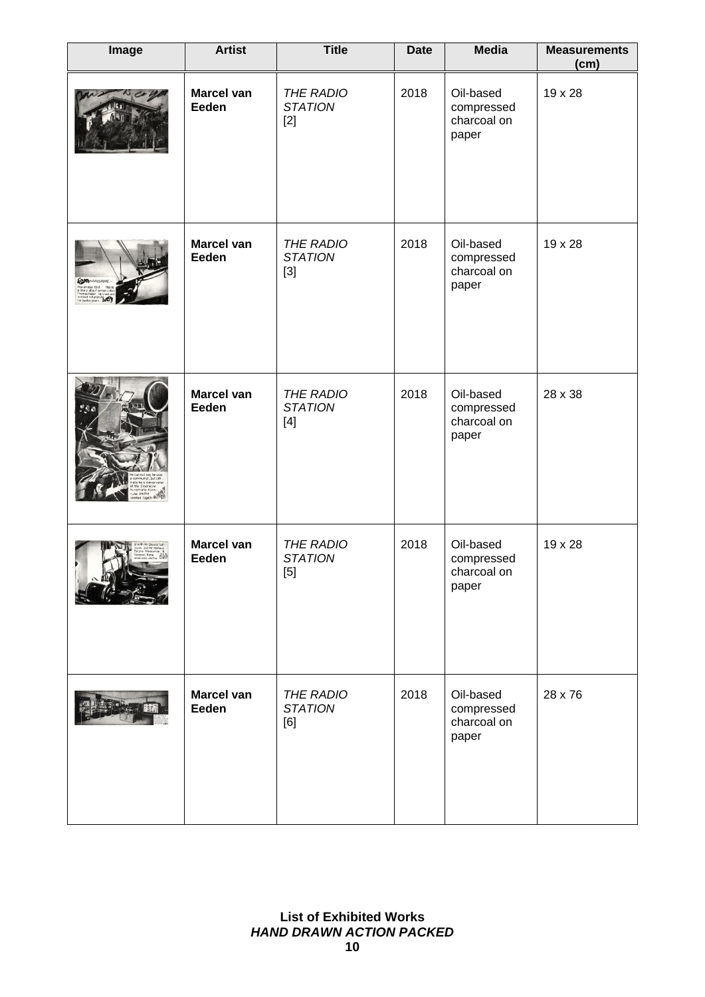| Image | <b>Artist</b>              | <b>Title</b>                         | <b>Date</b> | <b>Media</b>                                                          | <b>Measurements</b><br>(cm) |
|-------|----------------------------|--------------------------------------|-------------|-----------------------------------------------------------------------|-----------------------------|
|       | <b>Marcel van</b><br>Eeden | THE RADIO<br><b>STATION</b><br>$[2]$ | 2018        | Oil-based<br>compressed<br>charcoal on<br>paperDQ<br><b>ØWHERORXU</b> | 19 x 28                     |
|       | <b>Marcel van</b><br>Eeden | THE RADIO<br><b>STATION</b><br>$[3]$ | 2018        | Oil-based<br>compressed<br>charcoal on<br>paper                       | 19 x 28                     |
|       | <b>Marcel van</b><br>Eeden | THE RADIO<br><b>STATION</b><br>$[4]$ | 2018        | Oil-based<br>compressed<br>charcoal on<br>paper                       | 28 x 38                     |
|       | <b>Marcel van</b><br>Eeden | THE RADIO<br><b>STATION</b><br>$[5]$ | 2018        | Oil-based<br>compressed<br>charcoal on<br>paper                       | 19 x 28                     |
|       | <b>Marcel van</b><br>Eeden | THE RADIO<br><b>STATION</b><br>[6]   | 2018        | Oil-based<br>compressed<br>charcoal on<br>paper                       | 28 x 76                     |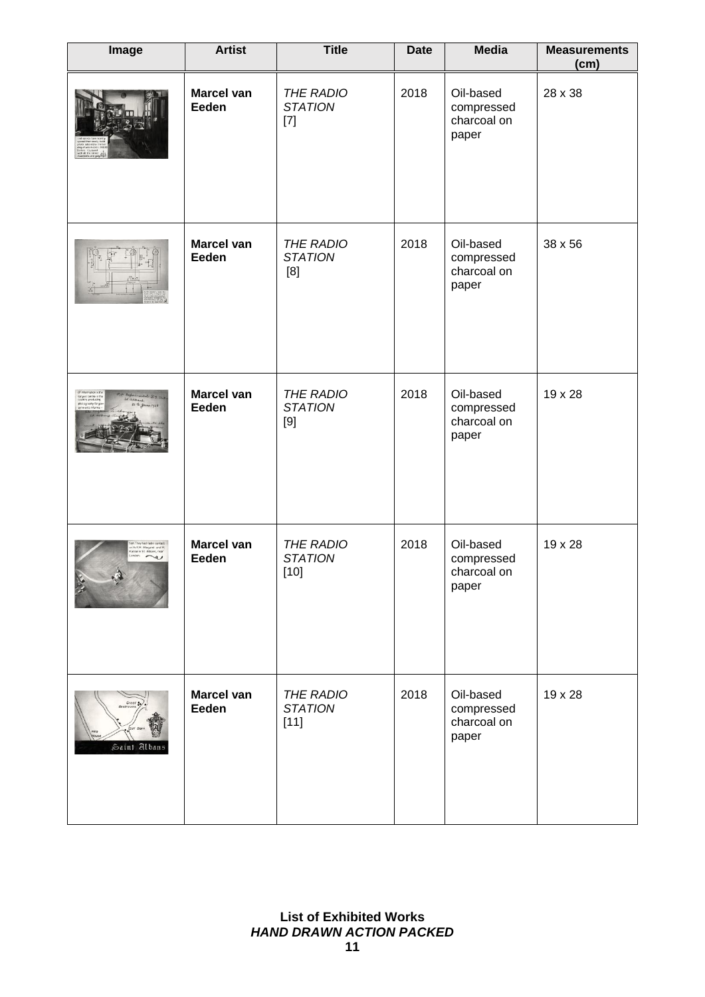| Image                    | <b>Artist</b>              | <b>Title</b>                                 | <b>Date</b> | <b>Media</b>                                    | <b>Measurements</b><br>(cm) |
|--------------------------|----------------------------|----------------------------------------------|-------------|-------------------------------------------------|-----------------------------|
|                          | <b>Marcel van</b><br>Eeden | THE RADIO<br><b>STATION</b><br>$[7]$         | 2018        | Oil-based<br>compressed<br>charcoal on<br>paper | 28 x 38                     |
|                          | <b>Marcel van</b><br>Eeden | <b>THE RADIO</b><br><b>STATION</b><br>[8]    | 2018        | Oil-based<br>compressed<br>charcoal on<br>paper | 38 x 56                     |
|                          | <b>Marcel van</b><br>Eeden | <b>THE RADIO</b><br><b>STATION</b><br>$[9]$  | 2018        | Oil-based<br>compressed<br>charcoal on<br>paper | 19 x 28                     |
| Wiegand and M<br>中<br>A. | <b>Marcel van</b><br>Eeden | <b>THE RADIO</b><br><b>STATION</b><br>$[10]$ | 2018        | Oil-based<br>compressed<br>charcoal on<br>paper | 19 x 28                     |
| Great 5<br>Saint Albans  | <b>Marcel van</b><br>Eeden | THE RADIO<br><b>STATION</b><br>$[11]$        | 2018        | Oil-based<br>compressed<br>charcoal on<br>paper | 19 x 28                     |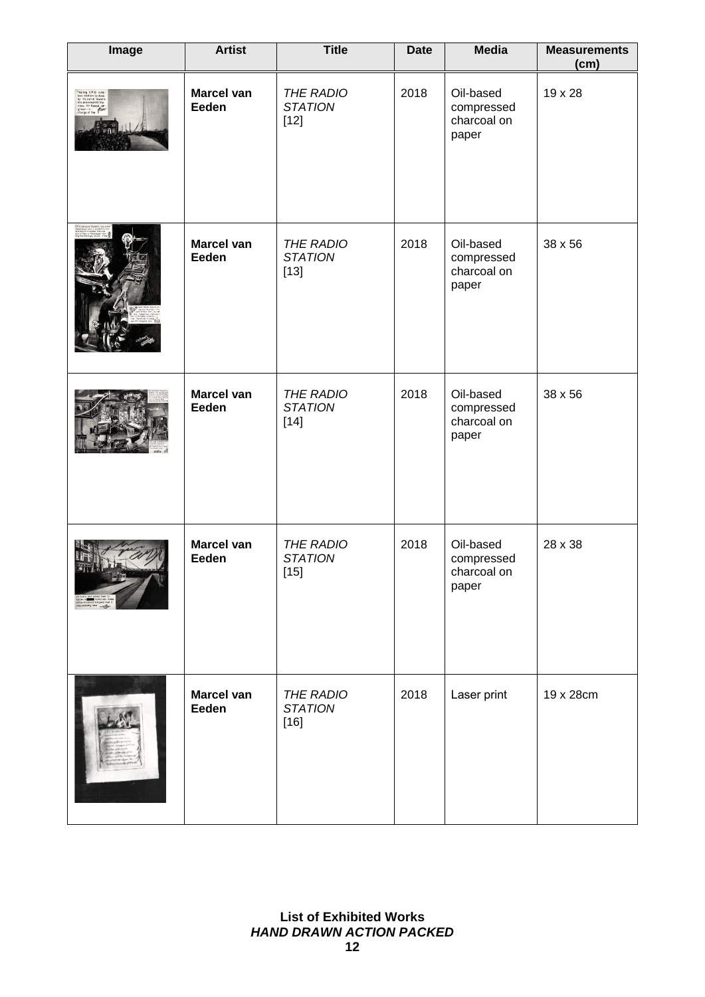| Image | <b>Artist</b>              | <b>Title</b>                          | <b>Date</b> | <b>Media</b>                                    | <b>Measurements</b><br>(cm) |
|-------|----------------------------|---------------------------------------|-------------|-------------------------------------------------|-----------------------------|
|       | <b>Marcel van</b><br>Eeden | THE RADIO<br><b>STATION</b><br>$[12]$ | 2018        | Oil-based<br>compressed<br>charcoal on<br>paper | 19 x 28                     |
|       | <b>Marcel van</b><br>Eeden | THE RADIO<br><b>STATION</b><br>$[13]$ | 2018        | Oil-based<br>compressed<br>charcoal on<br>paper | 38 x 56                     |
|       | Marcel van<br>Eeden        | THE RADIO<br><b>STATION</b><br>$[14]$ | 2018        | Oil-based<br>compressed<br>charcoal on<br>paper | 38 x 56                     |
|       | <b>Marcel van</b><br>Eeden | THE RADIO<br><b>STATION</b><br>$[15]$ | 2018        | Oil-based<br>compressed<br>charcoal on<br>paper | 28 x 38                     |
|       | Marcel van<br>Eeden        | THE RADIO<br><b>STATION</b><br>$[16]$ | 2018        | Laser print                                     | 19 x 28cm                   |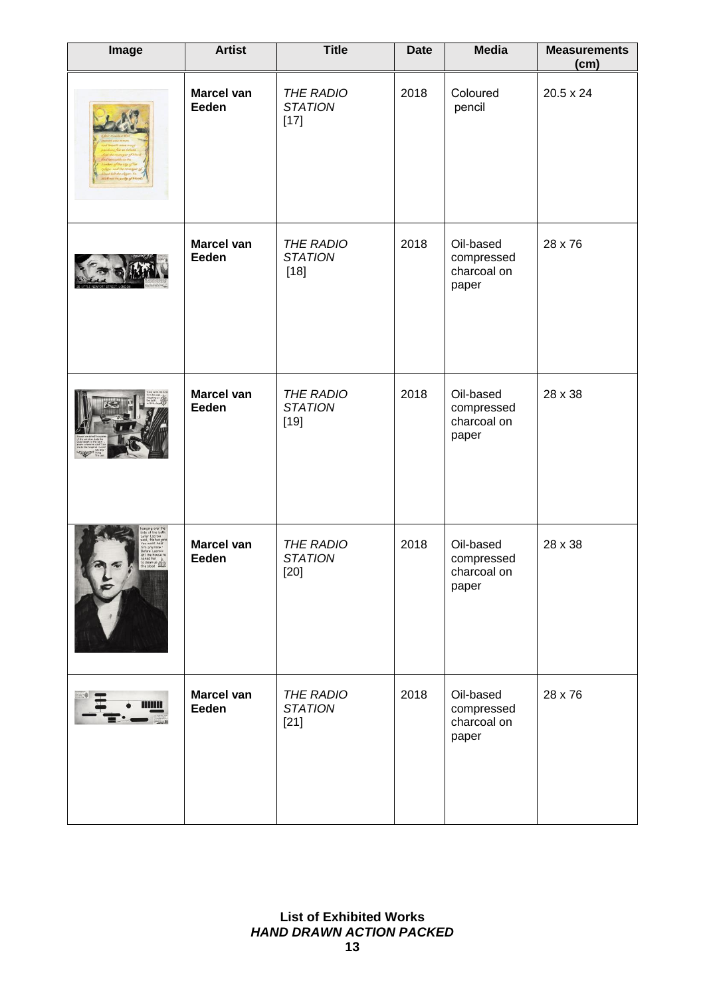| Image | <b>Artist</b>              | <b>Title</b>                                 | <b>Date</b> | <b>Media</b>                                    | <b>Measurements</b><br>(cm) |
|-------|----------------------------|----------------------------------------------|-------------|-------------------------------------------------|-----------------------------|
|       | <b>Marcel van</b><br>Eeden | THE RADIO<br><b>STATION</b><br>$[17]$        | 2018        | Coloured<br>pencil                              | 20.5 x 24                   |
|       | <b>Marcel van</b><br>Eeden | <b>THE RADIO</b><br><b>STATION</b><br>$[18]$ | 2018        | Oil-based<br>compressed<br>charcoal on<br>paper | 28 x 76                     |
|       | <b>Marcel van</b><br>Eeden | <b>THE RADIO</b><br><b>STATION</b><br>$[19]$ | 2018        | Oil-based<br>compressed<br>charcoal on<br>paper | 28 x 38                     |
|       | <b>Marcel van</b><br>Eeden | THE RADIO<br><b>STATION</b><br>$[20]$        | 2018        | Oil-based<br>compressed<br>charcoal on<br>paper | 28 x 38                     |
| muu   | <b>Marcel van</b><br>Eeden | <b>THE RADIO</b><br><b>STATION</b><br>$[21]$ | 2018        | Oil-based<br>compressed<br>charcoal on<br>paper | 28 x 76                     |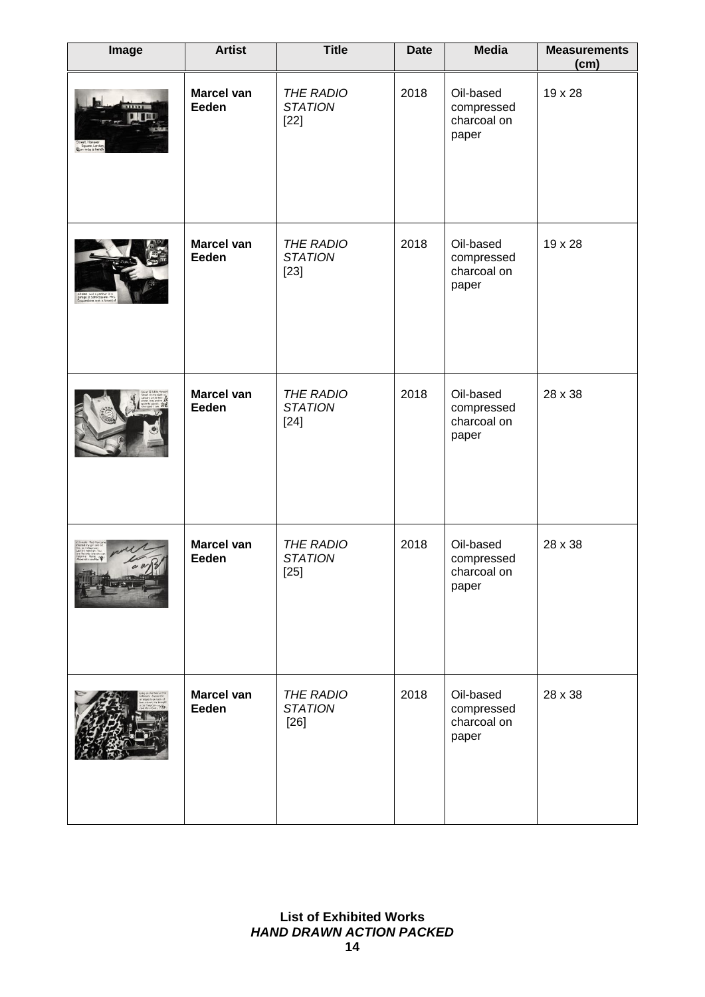| Image                                                                                    | <b>Artist</b>              | <b>Title</b>                          | <b>Date</b> | <b>Media</b>                                    | <b>Measurements</b><br>(cm) |
|------------------------------------------------------------------------------------------|----------------------------|---------------------------------------|-------------|-------------------------------------------------|-----------------------------|
| $\mathbf{m}_1$<br>Street, Hanover<br>Square, London,<br>Cise was a french                | <b>Marcel van</b><br>Eeden | THE RADIO<br><b>STATION</b><br>$[22]$ | 2018        | Oil-based<br>compressed<br>charcoal on<br>paper | 19 x 28                     |
| citizen and a partner in a<br>garage at Soho Square. Mrs.<br>Combiettone was a tenant of | <b>Marcel van</b><br>Eeden | THE RADIO<br><b>STATION</b><br>$[23]$ | 2018        | Oil-based<br>compressed<br>charcoal on<br>paper | 19 x 28                     |
|                                                                                          | <b>Marcel van</b><br>Eeden | THE RADIO<br><b>STATION</b><br>$[24]$ | 2018        | Oil-based<br>compressed<br>charcoal on<br>paper | 28 x 38                     |
| $\alpha$ urg                                                                             | <b>Marcel van</b><br>Eeden | THE RADIO<br><b>STATION</b><br>$[25]$ | 2018        | Oil-based<br>compressed<br>charcoal on<br>paper | 28 x 38                     |
|                                                                                          | <b>Marcel van</b><br>Eeden | THE RADIO<br><b>STATION</b><br>$[26]$ | 2018        | Oil-based<br>compressed<br>charcoal on<br>paper | 28 x 38                     |